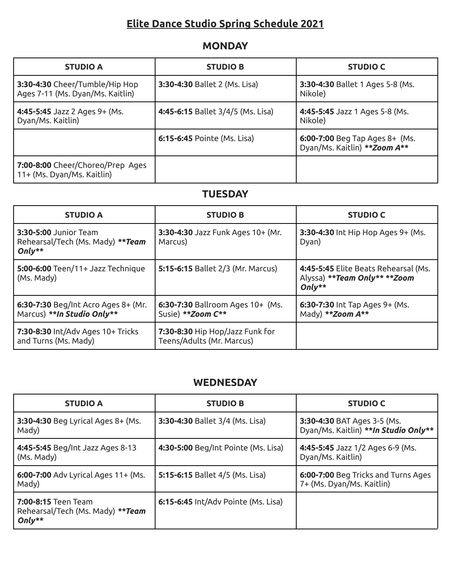# **Elite Dance Studio Spring Schedule 2021**

## **MONDAY**

| <b>STUDIO A</b>                                                    | <b>STUDIO B</b>                    | <b>STUDIO C</b>                                                 |
|--------------------------------------------------------------------|------------------------------------|-----------------------------------------------------------------|
| 3:30-4:30 Cheer/Tumble/Hip Hop<br>Ages 7-11 (Ms. Dyan/Ms. Kaitlin) | 3:30-4:30 Ballet 2 (Ms. Lisa)      | 3:30-4:30 Ballet 1 Ages 5-8 (Ms.<br>Nikole)                     |
| 4:45-5:45 Jazz 2 Ages 9+ (Ms.<br>Dyan/Ms. Kaitlin)                 | 4:45-6:15 Ballet 3/4/5 (Ms. Lisa)  | 4:45-5:45 Jazz 1 Ages 5-8 (Ms.<br>Nikole)                       |
|                                                                    | <b>6:15-6:45</b> Pointe (Ms. Lisa) | 6:00-7:00 Beg Tap Ages 8+ (Ms.<br>Dyan/Ms. Kaitlin) ** Zoom A** |
| 7:00-8:00 Cheer/Choreo/Prep Ages<br>11+ (Ms. Dyan/Ms. Kaitlin)     |                                    |                                                                 |

## **TUESDAY**

| <b>STUDIO A</b>                                                       | <b>STUDIO B</b>                                              | <b>STUDIO C</b>                                                                    |
|-----------------------------------------------------------------------|--------------------------------------------------------------|------------------------------------------------------------------------------------|
| 3:30-5:00 Junior Team<br>Rehearsal/Tech (Ms. Mady) **Team<br>$Only**$ | 3:30-4:30 Jazz Funk Ages 10+ (Mr.<br>Marcus)                 | 3:30-4:30 Int Hip Hop Ages 9+ (Ms.<br>Dyan)                                        |
| 5:00-6:00 Teen/11+ Jazz Technique<br>(Ms. Mady)                       | 5:15-6:15 Ballet 2/3 (Mr. Marcus)                            | 4:45-5:45 Elite Beats Rehearsal (Ms.<br>Alyssa) ** Team Only** ** Zoom<br>$Only**$ |
| 6:30-7:30 Beg/Int Acro Ages 8+ (Mr.<br>Marcus) **In Studio Only**     | 6:30-7:30 Ballroom Ages 10+ (Ms.<br>Susie) ** Zoom C**       | 6:30-7:30 Int Tap Ages 9+ (Ms.<br>Mady) ** Zoom A**                                |
| 7:30-8:30 Int/Adv Ages 10+ Tricks<br>and Turns (Ms. Mady)             | 7:30-8:30 Hip Hop/Jazz Funk for<br>Teens/Adults (Mr. Marcus) |                                                                                    |

#### **WEDNESDAY**

| <b>STUDIO A</b>                                                     | <b>STUDIO B</b>                     | <b>STUDIO C</b>                                                      |
|---------------------------------------------------------------------|-------------------------------------|----------------------------------------------------------------------|
| 3:30-4:30 Beg Lyrical Ages 8+ (Ms.<br>Mady)                         | 3:30-4:30 Ballet 3/4 (Ms. Lisa)     | 3:30-4:30 BAT Ages 3-5 (Ms.<br>Dyan/Ms. Kaitlin) ** In Studio Only** |
| 4:45-5:45 Beg/Int Jazz Ages 8-13<br>(Ms. Mady)                      | 4:30-5:00 Beg/Int Pointe (Ms. Lisa) | 4:45-5:45 Jazz 1/2 Ages 6-9 (Ms.<br>Dyan/Ms. Kaitlin)                |
| 6:00-7:00 Adv Lyrical Ages 11+ (Ms.<br>Mady)                        | 5:15-6:15 Ballet 4/5 (Ms. Lisa)     | 6:00-7:00 Beg Tricks and Turns Ages<br>7+ (Ms. Dyan/Ms. Kaitlin)     |
| 7:00-8:15 Teen Team<br>Rehearsal/Tech (Ms. Mady) **Team<br>$Only**$ | 6:15-6:45 Int/Adv Pointe (Ms. Lisa) |                                                                      |